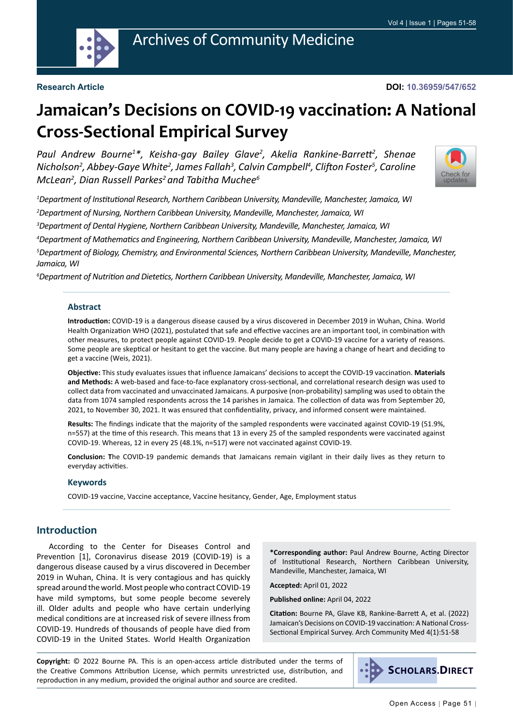

#### **Research Article**

#### **DOI: 10.36959/547/652**

# **Jamaican's Decisions on COVID-19 vaccination: A National Cross-Sectional Empirical Survey**

*Paul Andrew Bourne1 \*, Keisha-gay Bailey Glave2 , Akelia Rankine-Barrett<sup>2</sup> , Shenae*  Nicholson<sup>2</sup>, Abbey-Gaye White<sup>2</sup>, James Fallah<sup>3</sup>, Calvin Campbell<sup>4</sup>, Clifton Foster<sup>5</sup>, Caroline *McLean2 , Dian Russell Parkes2 and Tabitha Muchee6*



*1 Department of Institutional Research, Northern Caribbean University, Mandeville, Manchester, Jamaica, WI 2 Department of Nursing, Northern Caribbean University, Mandeville, Manchester, Jamaica, WI*

*3 Department of Dental Hygiene, Northern Caribbean University, Mandeville, Manchester, Jamaica, WI*

*4 Department of Mathematics and Engineering, Northern Caribbean University, Mandeville, Manchester, Jamaica, WI*

*5 Department of Biology, Chemistry, and Environmental Sciences, Northern Caribbean University, Mandeville, Manchester, Jamaica, WI*

*6 Department of Nutrition and Dietetics, Northern Caribbean University, Mandeville, Manchester, Jamaica, WI*

#### **Abstract**

**Introduction:** COVID-19 is a dangerous disease caused by a virus discovered in December 2019 in Wuhan, China. World Health Organization WHO (2021), postulated that safe and effective vaccines are an important tool, in combination with other measures, to protect people against COVID-19. People decide to get a COVID-19 vaccine for a variety of reasons. Some people are skeptical or hesitant to get the vaccine. But many people are having a change of heart and deciding to get a vaccine (Weis, 2021).

**Objective:** This study evaluates issues that influence Jamaicans' decisions to accept the COVID-19 vaccination. **Materials and Methods:** A web-based and face-to-face explanatory cross-sectional, and correlational research design was used to collect data from vaccinated and unvaccinated Jamaicans. A purposive (non-probability) sampling was used to obtain the data from 1074 sampled respondents across the 14 parishes in Jamaica. The collection of data was from September 20, 2021, to November 30, 2021. It was ensured that confidentiality, privacy, and informed consent were maintained.

**Results:** The findings indicate that the majority of the sampled respondents were vaccinated against COVID-19 (51.9%, n=557) at the time of this research. This means that 13 in every 25 of the sampled respondents were vaccinated against COVID-19. Whereas, 12 in every 25 (48.1%, n=517) were not vaccinated against COVID-19.

**Conclusion: T**he COVID-19 pandemic demands that Jamaicans remain vigilant in their daily lives as they return to everyday activities.

#### **Keywords**

COVID-19 vaccine, Vaccine acceptance, Vaccine hesitancy, Gender, Age, Employment status

#### **Introduction**

According to the Center for Diseases Control and Prevention [1], Coronavirus disease 2019 (COVID-19) is a dangerous disease caused by a virus discovered in December 2019 in Wuhan, China. It is very contagious and has quickly spread around the world. Most people who contract COVID-19 have mild symptoms, but some people become severely ill. Older adults and people who have [certain underlying](https://www.cdc.gov/coronavirus/2019-ncov/need-extra-precautions/people-with-medical-conditions.html?CDC_AA_refVal=https%3A%2F%2Fwww.cdc.gov%2Fcoronavirus%2F2019-ncov%2Fneed-extra-precautions%2Fgroups-at-higher-risk.html)  [medical conditions](https://www.cdc.gov/coronavirus/2019-ncov/need-extra-precautions/people-with-medical-conditions.html?CDC_AA_refVal=https%3A%2F%2Fwww.cdc.gov%2Fcoronavirus%2F2019-ncov%2Fneed-extra-precautions%2Fgroups-at-higher-risk.html) are at increased risk of severe illness from COVID-19. Hundreds of thousands of people have died from COVID-19 in the United States. World Health Organization

**\*Corresponding author:** Paul Andrew Bourne, Acting Director of Institutional Research, Northern Caribbean University, Mandeville, Manchester, Jamaica, WI

**Accepted:** April 01, 2022

**Published online:** April 04, 2022

**Citation:** Bourne PA, Glave KB, Rankine-Barrett A, et al. (2022) Jamaican's Decisions on COVID-19 vaccination: A National Cross-Sectional Empirical Survey. Arch Community Med 4(1):51-58

**Copyright:** © 2022 Bourne PA. This is an open-access article distributed under the terms of the Creative Commons Attribution License, which permits unrestricted use, distribution, and reproduction in any medium, provided the original author and source are credited.

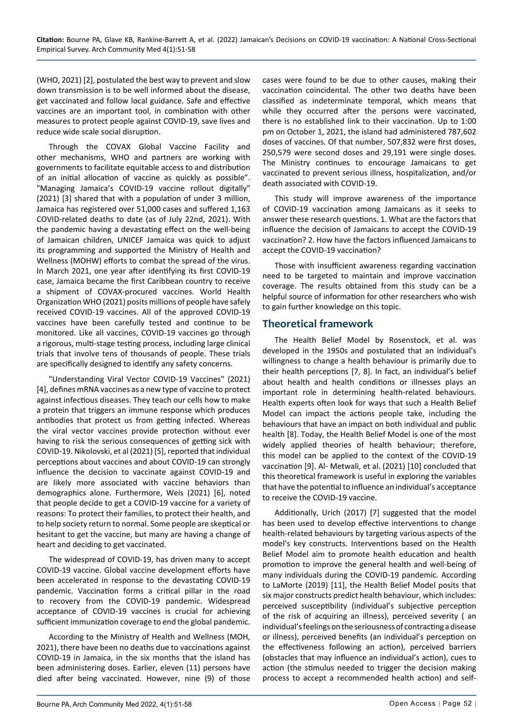(WHO, 2021) [2], postulated the best way to prevent and slow down transmission is to be well informed about the disease, get vaccinated and follow local guidance. Safe and effective vaccines are an important tool, in combination with other measures to protect people against COVID-19, save lives and reduce wide scale social disruption.

Through the COVAX Global Vaccine Facility and other mechanisms, WHO and partners are working with governments to facilitate equitable access to and distribution of an initial allocation of vaccine as quickly as possible". "Managing Jamaica's COVID-19 vaccine rollout digitally" (2021) [3] shared that with a population of under 3 million, Jamaica has registered over 51,000 cases and suffered 1,163 COVID-related deaths to date (as of July 22nd, 2021). With the pandemic having a devastating effect on the well-being of Jamaican children, UNICEF Jamaica was quick to adjust its programming and supported the Ministry of Health and Wellness (MOHW) efforts to combat the spread of the virus. In March 2021, one year after identifying its first COVID-19 case, Jamaica became the first Caribbean country to receive a shipment of COVAX-procured vaccines. World Health Organization WHO (2021) posits millions of people have safely received COVID-19 vaccines. All of the approved COVID-19 vaccines have been carefully tested and continue to be monitored. Like all vaccines, COVID-19 vaccines go through a rigorous, multi-stage testing process, including large clinical trials that involve tens of thousands of people. These trials are specifically designed to identify any safety concerns.

"Understanding Viral Vector COVID-19 Vaccines" (2021) [4], defines mRNA vaccines as a new type of vaccine to protect against infectious diseases. They teach our cells how to make a protein that triggers an immune response which produces antibodies that protect us from getting infected. Whereas the viral vector vaccines provide protection without ever having to risk the serious consequences of getting sick with COVID-19. Nikolovski, et al (2021) [5], reported that individual perceptions about vaccines and about COVID-19 can strongly influence the decision to vaccinate against COVID-19 and are likely more associated with vaccine behaviors than demographics alone. Furthermore, Weis (2021) [6], noted that people decide to get a COVID-19 vaccine for a variety of reasons: To protect their families, to protect their health, and to help society return to normal. Some people are skeptical or hesitant to get the vaccine, but many are having a change of heart and deciding to get vaccinated.

The widespread of COVID-19, has driven many to accept COVID-19 vaccine. Global vaccine development efforts have been accelerated in response to the devastating COVID-19 pandemic. Vaccination forms a critical pillar in the road to recovery from the COVID-19 pandemic. Widespread acceptance of COVID-19 vaccines is crucial for achieving sufficient immunization coverage to end the global pandemic.

According to the Ministry of Health and Wellness (MOH, 2021), there have been no deaths due to vaccinations against COVID-19 in Jamaica, in the six months that the island has been administering doses. Earlier, eleven (11) persons have died after being vaccinated. However, nine (9) of those cases were found to be due to other causes, making their vaccination coincidental. The other two deaths have been classified as indeterminate temporal, which means that while they occurred after the persons were vaccinated. there is no established link to their vaccination. Up to 1:00 pm on October 1, 2021, the island had administered 787,602 doses of vaccines. Of that number, 507,832 were first doses, 250,579 were second doses and 29,191 were single doses. The Ministry continues to encourage Jamaicans to get vaccinated to prevent serious illness, hospitalization, and/or death associated with COVID-19.

This study will improve awareness of the importance of COVID-19 vaccination among Jamaicans as it seeks to answer these research questions. 1. What are the factors that influence the decision of Jamaicans to accept the COVID-19 vaccination? 2. How have the factors influenced Jamaicans to accept the COVID-19 vaccination?

Those with insufficient awareness regarding vaccination need to be targeted to maintain and improve vaccination coverage. The results obtained from this study can be a helpful source of information for other researchers who wish to gain further knowledge on this topic.

## **Theoretical framework**

The Health Belief Model by Rosenstock, et al. was developed in the 1950s and postulated that an individual's willingness to change a health behaviour is primarily due to their health perceptions [7, 8]. In fact, an individual's belief about health and health conditions or illnesses plays an important role in determining health-related behaviours. Health experts often look for ways that such a Health Belief Model can impact the actions people take, including the behaviours that have an impact on both individual and public health [8]. Today, the Health Belief Model is one of the most widely applied theories of health behaviour; therefore, this model can be applied to the context of the COVID-19 vaccination [9]. Al- Metwali, et al. (2021) [10] concluded that this theoretical framework is useful in exploring the variables that have the potential to influence an individual's acceptance to receive the COVID-19 vaccine.

Additionally, Urich (2017) [7] suggested that the model has been used to develop effective interventions to change health-related behaviours by targeting various aspects of the model's key constructs. Interventions based on the Health Belief Model aim to promote health education and health promotion to improve the general health and well-being of many individuals during the COVID-19 pandemic. According to LaMorte (2019) [11], the Health Belief Model posits that six major constructs predict health behaviour, which includes: perceived susceptibility (individual's subjective perception of the risk of acquiring an illness), perceived severity ( an individual's feelings on the seriousness of contracting a disease or illness), perceived benefits (an individual's perception on the effectiveness following an action), perceived barriers (obstacles that may influence an individual's action), cues to action (the stimulus needed to trigger the decision making process to accept a recommended health action) and self-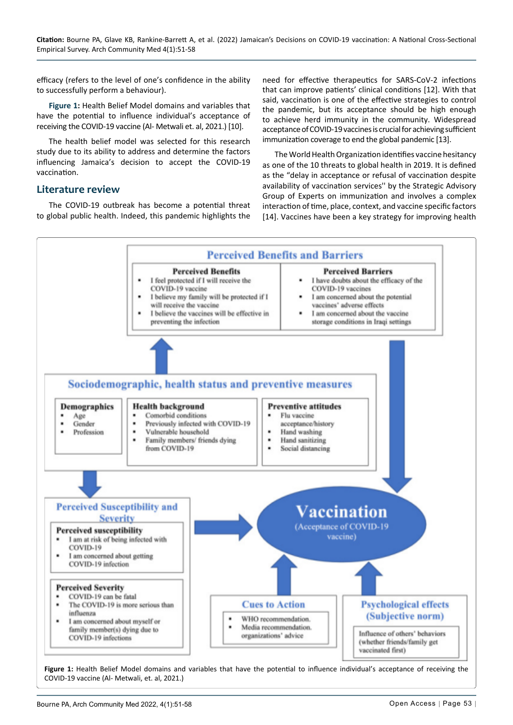efficacy (refers to the level of one's confidence in the ability to successfully perform a behaviour).

**[Figure 1](#page-2-0):** Health Belief Model domains and variables that have the potential to influence individual's acceptance of receiving the COVID-19 vaccine (Al- Metwali et. al, 2021.) [10].

The health belief model was selected for this research study due to its ability to address and determine the factors influencing Jamaica's decision to accept the COVID-19 vaccination.

### **Literature review**

The COVID-19 outbreak has become a potential threat to global public health. Indeed, this pandemic highlights the

need for effective therapeutics for SARS-CoV-2 infections that can improve patients' clinical conditions [12]. With that said, vaccination is one of the effective strategies to control the pandemic, but its acceptance should be high enough to achieve herd immunity in the community. Widespread acceptance of COVID-19 vaccines is crucial for achieving sufficient immunization coverage to end the global pandemic [13].

The World Health Organization identifies vaccine hesitancy as one of the 10 threats to global health in 2019. It is defined as the "delay in acceptance or refusal of vaccination despite availability of vaccination services'' by the Strategic Advisory Group of Experts on immunization and involves a complex interaction of time, place, context, and vaccine specific factors [14]. Vaccines have been a key strategy for improving health

<span id="page-2-0"></span>

Bourne PA, Arch Community Med 2022, 4(1):51-58 **Community Med 2022, 4(1):51-58** Community Med 2022, 4(1):51-58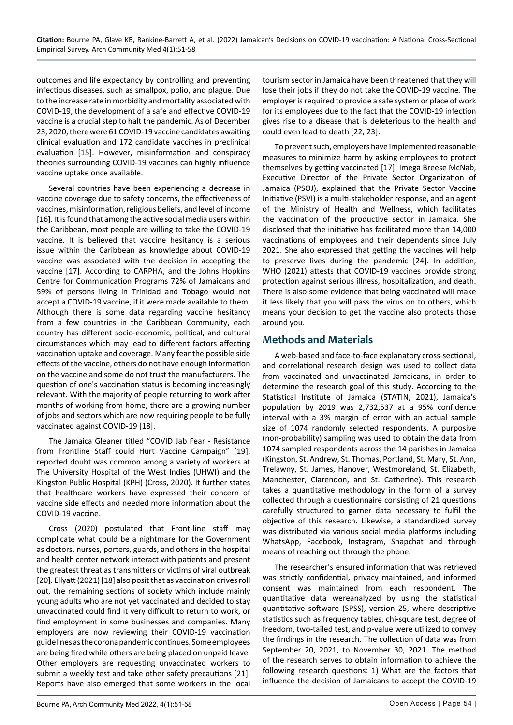outcomes and life expectancy by controlling and preventing infectious diseases, such as smallpox, polio, and plague. Due to the increase rate in morbidity and mortality associated with COVID-19, the development of a safe and effective COVID-19 vaccine is a crucial step to halt the pandemic. As of December 23, 2020, there were 61 COVID-19 vaccine candidates awaiting clinical evaluation and 172 candidate vaccines in preclinical evaluation [15]. However, misinformation and conspiracy theories surrounding COVID-19 vaccines can highly influence vaccine uptake once available.

Several countries have been experiencing a decrease in vaccine coverage due to safety concerns, the effectiveness of vaccines, misinformation, religious beliefs, and level of income [16]. It is found that among the active social media users within the Caribbean, most people are willing to take the COVID-19 vaccine. It is believed that vaccine hesitancy is a serious issue within the Caribbean as knowledge about COVID-19 vaccine was associated with the decision in accepting the vaccine [17]. According to CARPHA, and the Johns Hopkins Centre for Communication Programs 72% of Jamaicans and 59% of persons living in Trinidad and Tobago would not accept a COVID-19 vaccine, if it were made available to them. Although there is some data regarding vaccine hesitancy from a few countries in the Caribbean Community, each country has different socio-economic, political, and cultural circumstances which may lead to different factors affecting vaccination uptake and coverage. Many fear the possible side effects of the vaccine, others do not have enough information on the vaccine and some do not trust the manufacturers. The question of one's vaccination status is becoming increasingly relevant. With the majority of people returning to work after months of working from home, there are a growing number of jobs and sectors which are now requiring people to be fully vaccinated against COVID-19 [18].

The Jamaica Gleaner titled "COVID Jab Fear - Resistance from Frontline Staff could Hurt Vaccine Campaign" [19], reported doubt was common among a variety of workers at The University Hospital of the West Indies (UHWI) and the Kingston Public Hospital (KPH) (Cross, 2020). It further states that healthcare workers have expressed their concern of vaccine side effects and needed more information about the COVID-19 vaccine.

Cross (2020) postulated that Front-line staff may complicate what could be a nightmare for the Government as doctors, nurses, porters, guards, and others in the hospital and health center network interact with patients and present the greatest threat as transmitters or victims of viral outbreak [20]. Ellyatt (2021) [18] also posit that as vaccination drives roll out, the remaining sections of society which include mainly young adults who are not yet vaccinated and decided to stay unvaccinated could find it very difficult to return to work, or find employment in some businesses and companies. Many employers are now reviewing their COVID-19 vaccination guidelines as the corona pandemic continues. Some employees are being fired while others are being placed on unpaid leave. Other employers are requesting unvaccinated workers to submit a weekly test and take other safety precautions [21]. Reports have also emerged that some workers in the local tourism sector in Jamaica have been threatened that they will lose their jobs if they do not take the COVID-19 vaccine. The employer is required to provide a safe system or place of work for its employees due to the fact that the COVID-19 infection gives rise to a disease that is deleterious to the health and could even lead to death [22, 23].

To prevent such, employers have implemented reasonable measures to minimize harm by asking employees to protect themselves by getting vaccinated [17]. Imega Breese McNab, Executive Director of the Private Sector Organization of Jamaica (PSOJ), explained that the Private Sector Vaccine Initiative (PSVI) is a multi-stakeholder response, and an agent of the Ministry of Health and Wellness, which facilitates the vaccination of the productive sector in Jamaica. She disclosed that the initiative has facilitated more than 14,000 vaccinations of employees and their dependents since July 2021. She also expressed that getting the vaccines will help to preserve lives during the pandemic [24]. In addition, WHO (2021) attests that COVID-19 vaccines provide strong protection against serious illness, hospitalization, and death. There is also some evidence that being vaccinated will make it less likely that you will pass the virus on to others, which means your decision to get the vaccine also protects those around you.

## **Methods and Materials**

A web-based and face-to-face explanatory cross-sectional, and correlational research design was used to collect data from vaccinated and unvaccinated Jamaicans, in order to determine the research goal of this study. According to the Statistical Institute of Jamaica (STATIN, 2021), Jamaica's population by 2019 was 2,732,537 at a 95% confidence interval with a 3% margin of error with an actual sample size of 1074 randomly selected respondents. A purposive (non-probability) sampling was used to obtain the data from 1074 sampled respondents across the 14 parishes in Jamaica (Kingston, St. Andrew, St. Thomas, Portland, St. Mary, St. Ann, Trelawny, St. James, Hanover, Westmoreland, St. Elizabeth, Manchester, Clarendon, and St. Catherine). This research takes a quantitative methodology in the form of a survey collected through a questionnaire consisting of 21 questions carefully structured to garner data necessary to fulfil the objective of this research. Likewise, a standardized survey was distributed via various social media platforms including WhatsApp, Facebook, Instagram, Snapchat and through means of reaching out through the phone.

The researcher's ensured information that was retrieved was strictly confidential, privacy maintained, and informed consent was maintained from each respondent. The quantitative data wereanalyzed by using the statistical quantitative software (SPSS), version 25, where descriptive statistics such as frequency tables, chi-square test, degree of freedom, two-tailed test, and p-value were utilized to convey the findings in the research. The collection of data was from September 20, 2021, to November 30, 2021. The method of the research serves to obtain information to achieve the following research questions: 1) What are the factors that influence the decision of Jamaicans to accept the COVID-19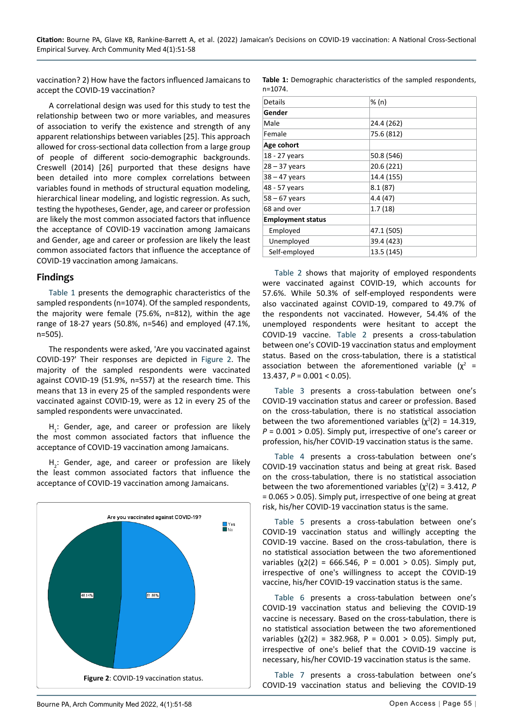vaccination? 2) How have the factors influenced Jamaicans to accept the COVID-19 vaccination?

A correlational design was used for this study to test the relationship between two or more variables, and measures of association to verify the existence and strength of any apparent relationships between variables [25]. This approach allowed for cross-sectional data collection from a large group of people of different socio-demographic backgrounds. Creswell (2014) [26] purported that these designs have been detailed into more complex correlations between variables found in methods of structural equation modeling, hierarchical linear modeling, and logistic regression. As such, testing the hypotheses, Gender, age, and career or profession are likely the most common associated factors that influence the acceptance of COVID-19 vaccination among Jamaicans and Gender, age and career or profession are likely the least common associated factors that influence the acceptance of COVID-19 vaccination among Jamaicans.

#### **Findings**

[Table 1](#page-4-0) presents the demographic characteristics of the sampled respondents (n=1074). Of the sampled respondents, the majority were female (75.6%, n=812), within the age range of 18-27 years (50.8%, n=546) and employed (47.1%, n=505).

The respondents were asked, 'Are you vaccinated against COVID-19?' Their responses are depicted in [Figure 2](#page-4-1). The majority of the sampled respondents were vaccinated against COVID-19 (51.9%, n=557) at the research time. This means that 13 in every 25 of the sampled respondents were vaccinated against COVID-19, were as 12 in every 25 of the sampled respondents were unvaccinated.

 $H_1$ : Gender, age, and career or profession are likely the most common associated factors that influence the acceptance of COVID-19 vaccination among Jamaicans.

 $H_2$ : Gender, age, and career or profession are likely the least common associated factors that influence the acceptance of COVID-19 vaccination among Jamaicans.

<span id="page-4-1"></span>

<span id="page-4-0"></span>**Table 1:** Demographic characteristics of the sampled respondents, n=1074.

| Details                  | % (n)      |
|--------------------------|------------|
| Gender                   |            |
| Male                     | 24.4 (262) |
| Female                   | 75.6 (812) |
| Age cohort               |            |
| 18 - 27 years            | 50.8 (546) |
| $28 - 37$ years          | 20.6 (221) |
| $38 - 47$ years          | 14.4 (155) |
| 48 - 57 years            | 8.1(87)    |
| $58 - 67$ years          | 4.4(47)    |
| 68 and over              | 1.7(18)    |
| <b>Employment status</b> |            |
| Employed                 | 47.1 (505) |
| Unemployed               | 39.4 (423) |
| Self-employed            | 13.5 (145) |
|                          |            |

[Table 2 s](#page-5-0)hows that majority of employed respondents were vaccinated against COVID-19, which accounts for 57.6%. While 50.3% of self-employed respondents were also vaccinated against COVID-19, compared to 49.7% of the respondents not vaccinated. However, 54.4% of the unemployed respondents were hesitant to accept the COVID-19 vaccine. [Table 2 p](#page-5-0)resents a cross-tabulation between one's COVID-19 vaccination status and employment status. Based on the cross-tabulation, there is a statistical association between the aforementioned variable  $(\chi^2 =$ 13.437, *P* = 0.001 < 0.05).

[Table 3](#page-5-1) presents a cross-tabulation between one's COVID-19 vaccination status and career or profession. Based on the cross-tabulation, there is no statistical association between the two aforementioned variables  $(\chi^2(2) = 14.319)$ , *P* = 0.001 > 0.05). Simply put, irrespective of one's career or profession, his/her COVID-19 vaccination status is the same.

[Table 4](#page-5-2) presents a cross-tabulation between one's COVID-19 vaccination status and being at great risk. Based on the cross-tabulation, there is no statistical association between the two aforementioned variables  $(\chi^2(2) = 3.412, P)$ = 0.065 > 0.05). Simply put, irrespective of one being at great risk, his/her COVID-19 vaccination status is the same.

[Table 5 p](#page-5-3)resents a cross-tabulation between one's COVID-19 vaccination status and willingly accepting the COVID-19 vaccine. Based on the cross-tabulation, there is no statistical association between the two aforementioned variables (χ2(2) = 666.546, P = 0.001 > 0.05). Simply put, irrespective of one's willingness to accept the COVID-19 vaccine, his/her COVID-19 vaccination status is the same.

[Table 6 p](#page-5-4)resents a cross-tabulation between one's COVID-19 vaccination status and believing the COVID-19 vaccine is necessary. Based on the cross-tabulation, there is no statistical association between the two aforementioned variables (χ2(2) = 382.968, P = 0.001 > 0.05). Simply put, irrespective of one's belief that the COVID-19 vaccine is necessary, his/her COVID-19 vaccination status is the same.

[Table 7 p](#page-5-5)resents a cross-tabulation between one's COVID-19 vaccination status and believing the COVID-19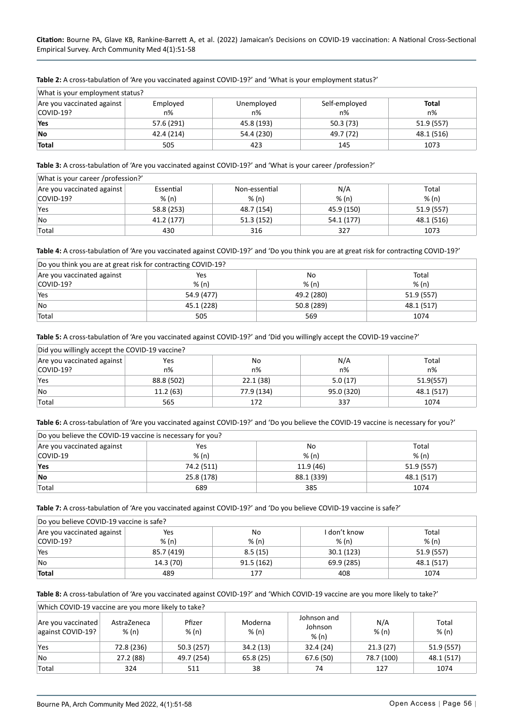| What is your employment status? |            |            |               |            |
|---------------------------------|------------|------------|---------------|------------|
| Are you vaccinated against      | Employed   | Unemployed | Self-employed | Total      |
| COVID-19?                       | n%         | $n\%$      | n%            | n%         |
| Yes                             | 57.6 (291) | 45.8 (193) | 50.3 (73)     | 51.9 (557) |
| <b>No</b>                       | 42.4 (214) | 54.4 (230) | 49.7 (72)     | 48.1 (516) |
| <b>Total</b>                    | 505        | 423        | 145           | 1073       |

<span id="page-5-0"></span>**Table 2:** A cross-tabulation of 'Are you vaccinated against COVID-19?' and 'What is your employment status?'

<span id="page-5-1"></span>**Table 3:** A cross-tabulation of 'Are you vaccinated against COVID-19?' and 'What is your career /profession?'

| What is your career /profession?'                                        |            |            |            |            |  |  |
|--------------------------------------------------------------------------|------------|------------|------------|------------|--|--|
| N/A<br>Are you vaccinated against<br>Essential<br>Non-essential<br>Total |            |            |            |            |  |  |
| COVID-19?                                                                | % (n)      | % (n)      | % (n)      | % (n)      |  |  |
| Yes                                                                      | 58.8 (253) | 48.7 (154) | 45.9 (150) | 51.9 (557) |  |  |
| <b>No</b>                                                                | 41.2 (177) | 51.3(152)  | 54.1 (177) | 48.1 (516) |  |  |
| 'Total                                                                   | 430        | 316        | 327        | 1073       |  |  |

<span id="page-5-2"></span>**Table 4:** A cross-tabulation of 'Are you vaccinated against COVID-19?' and 'Do you think you are at great risk for contracting COVID-19?'

| Do you think you are at great risk for contracting COVID-19? |            |            |            |  |  |  |
|--------------------------------------------------------------|------------|------------|------------|--|--|--|
| Are you vaccinated against<br>No<br>Total<br>Yes             |            |            |            |  |  |  |
| COVID-19?                                                    | % (n)      | % (n)      | % (n)      |  |  |  |
| Yes                                                          | 54.9 (477) | 49.2 (280) | 51.9 (557) |  |  |  |
| <b>No</b>                                                    | 45.1 (228) | 50.8 (289) | 48.1 (517) |  |  |  |
| Total                                                        | 505        | 569        | 1074       |  |  |  |

<span id="page-5-3"></span>**Table 5:** A cross-tabulation of 'Are you vaccinated against COVID-19?' and 'Did you willingly accept the COVID-19 vaccine?'

| Did you willingly accept the COVID-19 vaccine?          |            |            |            |            |  |  |
|---------------------------------------------------------|------------|------------|------------|------------|--|--|
| Are you vaccinated against<br>N/A<br>Total<br>Yes<br>No |            |            |            |            |  |  |
| COVID-19?                                               | $n\%$      | n%         | $n\%$      | n%         |  |  |
| Yes                                                     | 88.8 (502) | 22.1 (38)  | 5.0(17)    | 51.9(557)  |  |  |
| <b>No</b>                                               | 11.2(63)   | 77.9 (134) | 95.0 (320) | 48.1 (517) |  |  |
| Total                                                   | 565        | 172        | 337        | 1074       |  |  |

<span id="page-5-4"></span>**Table 6:** A cross-tabulation of 'Are you vaccinated against COVID-19?' and 'Do you believe the COVID-19 vaccine is necessary for you?'

| Do you believe the COVID-19 vaccine is necessary for you? |            |            |            |  |  |
|-----------------------------------------------------------|------------|------------|------------|--|--|
| Are you vaccinated against<br>No<br>Total<br>Yes          |            |            |            |  |  |
| COVID-19                                                  | % (n)      | % (n)      | % (n)      |  |  |
| Yes                                                       | 74.2 (511) | 11.9(46)   | 51.9 (557) |  |  |
| <b>No</b>                                                 | 25.8 (178) | 88.1 (339) | 48.1 (517) |  |  |
| Total                                                     | 689        | 385        | 1074       |  |  |

<span id="page-5-5"></span>**Table 7:** A cross-tabulation of 'Are you vaccinated against COVID-19?' and 'Do you believe COVID-19 vaccine is safe?'

| Do you believe COVID-19 vaccine is safe?                         |            |           |            |            |  |  |
|------------------------------------------------------------------|------------|-----------|------------|------------|--|--|
| Are you vaccinated against<br>I don't know<br>Yes<br>Total<br>No |            |           |            |            |  |  |
| COVID-19?                                                        | % (n)      | % (n)     | % (n)      | % (n)      |  |  |
| Yes                                                              | 85.7 (419) | 8.5(15)   | 30.1(123)  | 51.9 (557) |  |  |
| <b>No</b>                                                        | 14.3 (70)  | 91.5(162) | 69.9 (285) | 48.1 (517) |  |  |
| <b>Total</b>                                                     | 489        | 177       | 408        | 1074       |  |  |

<span id="page-5-6"></span>**Table 8:** A cross-tabulation of 'Are you vaccinated against COVID-19?' and 'Which COVID-19 vaccine are you more likely to take?'

| Which COVID-19 vaccine are you more likely to take? |                      |                 |                  |                                 |              |                |
|-----------------------------------------------------|----------------------|-----------------|------------------|---------------------------------|--------------|----------------|
| Are you vaccinated<br>against COVID-19?             | AstraZeneca<br>% (n) | Pfizer<br>% (n) | Moderna<br>% (n) | Johnson and<br>Johnson<br>% (n) | N/A<br>% (n) | Total<br>% (n) |
| Yes                                                 | 72.8 (236)           | 50.3 (257)      | 34.2 (13)        | 32.4(24)                        | 21.3(27)     | 51.9 (557)     |
| <b>No</b>                                           | 27.2 (88)            | 49.7 (254)      | 65.8(25)         | 67.6 (50)                       | 78.7 (100)   | 48.1 (517)     |
| Total                                               | 324                  | 511             | 38               | 74                              | 127          | 1074           |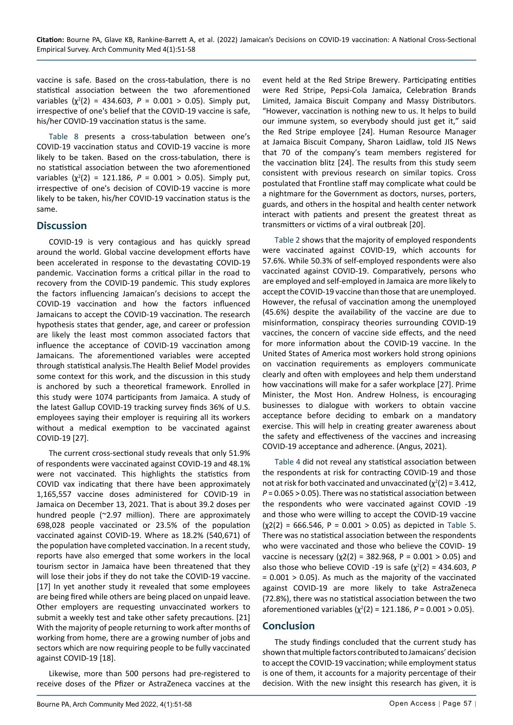vaccine is safe. Based on the cross-tabulation, there is no statistical association between the two aforementioned variables  $(\chi^2(2) = 434.603, P = 0.001 > 0.05)$ . Simply put, irrespective of one's belief that the COVID-19 vaccine is safe, his/her COVID-19 vaccination status is the same.

[Table 8](#page-5-6) presents a cross-tabulation between one's COVID-19 vaccination status and COVID-19 vaccine is more likely to be taken. Based on the cross-tabulation, there is no statistical association between the two aforementioned variables  $(\chi^2(2) = 121.186, P = 0.001 > 0.05)$ . Simply put, irrespective of one's decision of COVID-19 vaccine is more likely to be taken, his/her COVID-19 vaccination status is the same.

#### **Discussion**

COVID-19 is very contagious and has quickly spread around the world. Global vaccine development efforts have been accelerated in response to the devastating COVID-19 pandemic. Vaccination forms a critical pillar in the road to recovery from the COVID-19 pandemic. This study explores the factors influencing Jamaican's decisions to accept the COVID-19 vaccination and how the factors influenced Jamaicans to accept the COVID-19 vaccination. The research hypothesis states that gender, age, and career or profession are likely the least most common associated factors that influence the acceptance of COVID-19 vaccination among Jamaicans. The aforementioned variables were accepted through statistical analysis.The Health Belief Model provides some context for this work, and the discussion in this study is anchored by such a theoretical framework. Enrolled in this study were 1074 participants from Jamaica. A study of the latest Gallup COVID-19 tracking survey finds 36% of U.S. employees saying their employer is requiring all its workers without a medical exemption to be vaccinated against COVID-19 [27].

The current cross-sectional study reveals that only 51.9% of respondents were vaccinated against COVID-19 and 48.1% were not vaccinated. This highlights the statistics from COVID vax indicating that there have been approximately 1,165,557 vaccine doses administered for COVID-19 in Jamaica on December 13, 2021. That is about 39.2 doses per hundred people (~2.97 million). There are approximately 698,028 people vaccinated or 23.5% of the population vaccinated against COVID-19. Where as 18.2% (540,671) of the population have completed vaccination. In a recent study, reports have also emerged that some workers in the local tourism sector in Jamaica have been threatened that they will lose their jobs if they do not take the COVID-19 vaccine. [17] In yet another study it revealed that some employees are being fired while others are being placed on unpaid leave. Other employers are requesting unvaccinated workers to submit a weekly test and take other safety precautions. [21] With the majority of people returning to work after months of working from home, there are a growing number of jobs and sectors which are now requiring people to be fully vaccinated against COVID-19 [18].

Likewise, more than 500 persons had pre-registered to receive doses of the Pfizer or AstraZeneca vaccines at the

event held at the Red Stripe Brewery. Participating entities were Red Stripe, Pepsi-Cola Jamaica, Celebration Brands Limited, Jamaica Biscuit Company and Massy Distributors. "However, vaccination is nothing new to us. It helps to build our immune system, so everybody should just get it," said the Red Stripe employee [24]. Human Resource Manager at Jamaica Biscuit Company, Sharon Laidlaw, told JIS News that 70 of the company's team members registered for the vaccination blitz [24]. The results from this study seem consistent with previous research on similar topics. Cross postulated that Frontline staff may complicate what could be a nightmare for the Government as doctors, nurses, porters, guards, and others in the hospital and health center network interact with patients and present the greatest threat as transmitters or victims of a viral outbreak [20].

[Table 2](#page-5-0) shows that the majority of employed respondents were vaccinated against COVID-19, which accounts for 57.6%. While 50.3% of self-employed respondents were also vaccinated against COVID-19. Comparatively, persons who are employed and self-employed in Jamaica are more likely to accept the COVID-19 vaccine than those that are unemployed. However, the refusal of vaccination among the unemployed (45.6%) despite the availability of the vaccine are due to misinformation, conspiracy theories surrounding COVID-19 vaccines, the concern of vaccine side effects, and the need for more information about the COVID-19 vaccine. In the United States of America most workers hold strong opinions on vaccination requirements as employers communicate clearly and often with employees and help them understand how vaccinations will make for a safer workplace [27]. Prime Minister, the Most Hon. Andrew Holness, is encouraging businesses to dialogue with workers to obtain vaccine acceptance before deciding to embark on a mandatory exercise. This will help in creating greater awareness about the safety and effectiveness of the vaccines and increasing COVID-19 acceptance and adherence. (Angus, 2021).

[Table 4](#page-5-2) did not reveal any statistical association between the respondents at risk for contracting COVID-19 and those not at risk for both vaccinated and unvaccinated  $(\chi^2(2) = 3.412)$ , *P* = 0.065 > 0.05). There was no statistical association between the respondents who were vaccinated against COVID -19 and those who were willing to accept the COVID-19 vaccine  $(\chi2(2) = 666.546, P = 0.001 > 0.05)$  as depicted in [Table 5](#page-5-3). There was no statistical association between the respondents who were vaccinated and those who believe the COVID- 19 vaccine is necessary ( $χ2(2) = 382.968$ , P = 0.001 > 0.05) and also those who believe COVID -19 is safe  $(\chi^2(2) = 434.603, P)$ = 0.001 > 0.05). As much as the majority of the vaccinated against COVID-19 are more likely to take AstraZeneca (72.8%), there was no statistical association between the two aforementioned variables  $(\chi^2(2) = 121.186, P = 0.001 > 0.05)$ .

## **Conclusion**

The study findings concluded that the current study has shown that multiple factors contributed to Jamaicans' decision to accept the COVID-19 vaccination; while employment status is one of them, it accounts for a majority percentage of their decision. With the new insight this research has given, it is